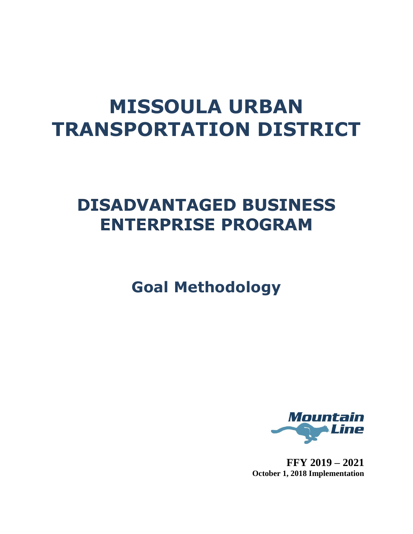# **MISSOULA URBAN TRANSPORTATION DISTRICT**

## **DISADVANTAGED BUSINESS ENTERPRISE PROGRAM**

**Goal Methodology**



**FFY 2019 – 2021 October 1, 2018 Implementation**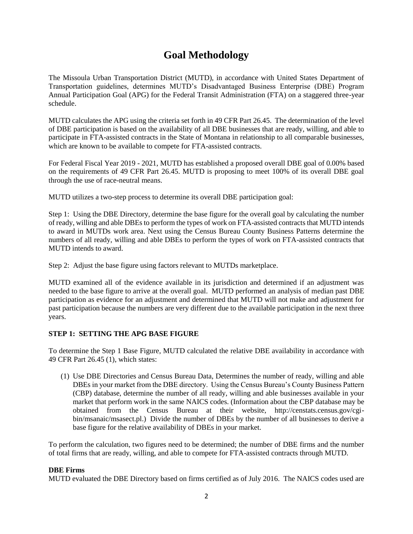### **Goal Methodology**

The Missoula Urban Transportation District (MUTD), in accordance with United States Department of Transportation guidelines, determines MUTD's Disadvantaged Business Enterprise (DBE) Program Annual Participation Goal (APG) for the Federal Transit Administration (FTA) on a staggered three-year schedule.

MUTD calculates the APG using the criteria set forth in 49 CFR Part 26.45. The determination of the level of DBE participation is based on the availability of all DBE businesses that are ready, willing, and able to participate in FTA-assisted contracts in the State of Montana in relationship to all comparable businesses, which are known to be available to compete for FTA-assisted contracts.

For Federal Fiscal Year 2019 - 2021, MUTD has established a proposed overall DBE goal of 0.00% based on the requirements of 49 CFR Part 26.45. MUTD is proposing to meet 100% of its overall DBE goal through the use of race-neutral means.

MUTD utilizes a two-step process to determine its overall DBE participation goal:

Step 1: Using the DBE Directory, determine the base figure for the overall goal by calculating the number of ready, willing and able DBEs to perform the types of work on FTA-assisted contracts that MUTD intends to award in MUTDs work area. Next using the Census Bureau County Business Patterns determine the numbers of all ready, willing and able DBEs to perform the types of work on FTA-assisted contracts that MUTD intends to award.

Step 2: Adjust the base figure using factors relevant to MUTDs marketplace.

MUTD examined all of the evidence available in its jurisdiction and determined if an adjustment was needed to the base figure to arrive at the overall goal. MUTD performed an analysis of median past DBE participation as evidence for an adjustment and determined that MUTD will not make and adjustment for past participation because the numbers are very different due to the available participation in the next three years.

#### **STEP 1: SETTING THE APG BASE FIGURE**

To determine the Step 1 Base Figure, MUTD calculated the relative DBE availability in accordance with 49 CFR Part 26.45 (1), which states:

(1) Use DBE Directories and Census Bureau Data, Determines the number of ready, willing and able DBEs in your market from the DBE directory. Using the Census Bureau's County Business Pattern (CBP) database, determine the number of all ready, willing and able businesses available in your market that perform work in the same NAICS codes. (Information about the CBP database may be obtained from the Census Bureau at their website, http://censtats.census.gov/cgibin/msanaic/msasect.pl.) Divide the number of DBEs by the number of all businesses to derive a base figure for the relative availability of DBEs in your market.

To perform the calculation, two figures need to be determined; the number of DBE firms and the number of total firms that are ready, willing, and able to compete for FTA-assisted contracts through MUTD.

#### **DBE Firms**

MUTD evaluated the DBE Directory based on firms certified as of July 2016. The NAICS codes used are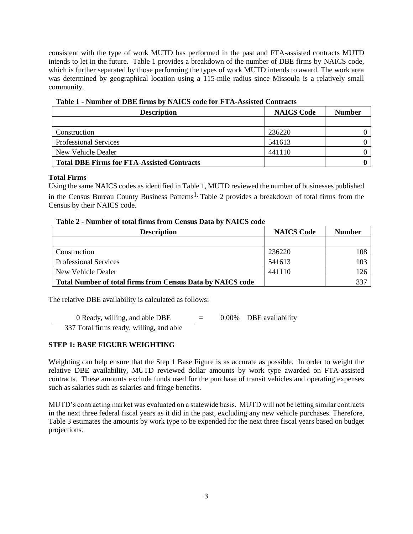consistent with the type of work MUTD has performed in the past and FTA-assisted contracts MUTD intends to let in the future. Table 1 provides a breakdown of the number of DBE firms by NAICS code, which is further separated by those performing the types of work MUTD intends to award. The work area was determined by geographical location using a 115-mile radius since Missoula is a relatively small community.

| <b>Description</b>                                | <b>NAICS Code</b> | <b>Number</b> |
|---------------------------------------------------|-------------------|---------------|
|                                                   |                   |               |
| Construction                                      | 236220            |               |
| <b>Professional Services</b>                      | 541613            |               |
| New Vehicle Dealer                                | 441110            |               |
| <b>Total DBE Firms for FTA-Assisted Contracts</b> |                   |               |

#### **Table 1 - Number of DBE firms by NAICS code for FTA-Assisted Contracts**

#### **Total Firms**

Using the same NAICS codes as identified in Table 1, MUTD reviewed the number of businesses published in the Census Bureau County Business Patterns<sup>1.</sup> Table 2 provides a breakdown of total firms from the Census by their NAICS code.

| $\frac{1}{2}$ and $\frac{1}{2}$ and $\frac{1}{2}$ are $\frac{1}{2}$ and $\frac{1}{2}$ and $\frac{1}{2}$ and $\frac{1}{2}$ and $\frac{1}{2}$ and $\frac{1}{2}$ and $\frac{1}{2}$ and $\frac{1}{2}$ and $\frac{1}{2}$ and $\frac{1}{2}$ and $\frac{1}{2}$ and $\frac{1}{2}$ and $\frac{1}{2}$ a<br><b>Description</b> | <b>NAICS Code</b> | <b>Number</b> |
|---------------------------------------------------------------------------------------------------------------------------------------------------------------------------------------------------------------------------------------------------------------------------------------------------------------------|-------------------|---------------|
|                                                                                                                                                                                                                                                                                                                     |                   |               |
| Construction                                                                                                                                                                                                                                                                                                        | 236220            | 108           |
| <b>Professional Services</b>                                                                                                                                                                                                                                                                                        | 541613            | 103           |
| New Vehicle Dealer                                                                                                                                                                                                                                                                                                  | 441110            | 126           |
| <b>Total Number of total firms from Census Data by NAICS code</b>                                                                                                                                                                                                                                                   |                   | 337           |

#### **Table 2 - Number of total firms from Census Data by NAICS code**

The relative DBE availability is calculated as follows:

0 Ready, willing, and able DBE  $=$  0.00% DBE availability

337 Total firms ready, willing, and able

#### **STEP 1: BASE FIGURE WEIGHTING**

Weighting can help ensure that the Step 1 Base Figure is as accurate as possible. In order to weight the relative DBE availability, MUTD reviewed dollar amounts by work type awarded on FTA-assisted contracts. These amounts exclude funds used for the purchase of transit vehicles and operating expenses such as salaries such as salaries and fringe benefits.

MUTD's contracting market was evaluated on a statewide basis. MUTD will not be letting similar contracts in the next three federal fiscal years as it did in the past, excluding any new vehicle purchases. Therefore, Table 3 estimates the amounts by work type to be expended for the next three fiscal years based on budget projections.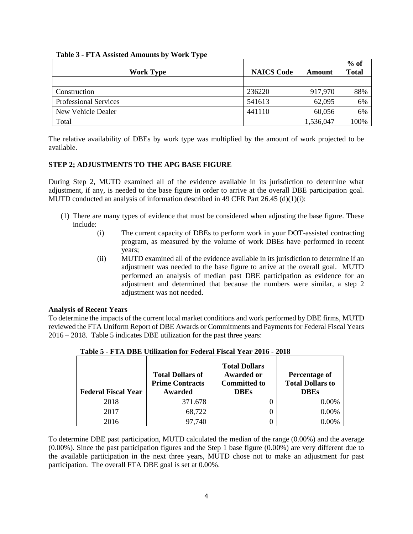| Table 3 - FTA Assisted Amounts by Work Type |
|---------------------------------------------|
|---------------------------------------------|

|                              |                   |           | $%$ of       |
|------------------------------|-------------------|-----------|--------------|
| <b>Work Type</b>             | <b>NAICS Code</b> | Amount    | <b>Total</b> |
|                              |                   |           |              |
| Construction                 | 236220            | 917,970   | 88%          |
| <b>Professional Services</b> | 541613            | 62,095    | 6%           |
| New Vehicle Dealer           | 441110            | 60,056    | 6%           |
| Total                        |                   | 1,536,047 | 100%         |

The relative availability of DBEs by work type was multiplied by the amount of work projected to be available.

#### **STEP 2; ADJUSTMENTS TO THE APG BASE FIGURE**

During Step 2, MUTD examined all of the evidence available in its jurisdiction to determine what adjustment, if any, is needed to the base figure in order to arrive at the overall DBE participation goal. MUTD conducted an analysis of information described in 49 CFR Part  $26.45$  (d)(1)(i):

- (1) There are many types of evidence that must be considered when adjusting the base figure. These include:
	- (i) The current capacity of DBEs to perform work in your DOT-assisted contracting program, as measured by the volume of work DBEs have performed in recent years;
	- (ii) MUTD examined all of the evidence available in its jurisdiction to determine if an adjustment was needed to the base figure to arrive at the overall goal. MUTD performed an analysis of median past DBE participation as evidence for an adjustment and determined that because the numbers were similar, a step 2 adjustment was not needed.

#### **Analysis of Recent Years**

To determine the impacts of the current local market conditions and work performed by DBE firms, MUTD reviewed the FTA Uniform Report of DBE Awards or Commitments and Payments for Federal Fiscal Years 2016 – 2018. Table 5 indicates DBE utilization for the past three years:

| <b>Federal Fiscal Year</b> | <b>Total Dollars of</b><br><b>Prime Contracts</b><br>Awarded | <b>Total Dollars</b><br><b>Awarded or</b><br><b>Committed to</b><br><b>DBEs</b> | Percentage of<br><b>Total Dollars to</b><br><b>DBEs</b> |
|----------------------------|--------------------------------------------------------------|---------------------------------------------------------------------------------|---------------------------------------------------------|
| 2018                       | 371.678                                                      |                                                                                 | 0.00%                                                   |
| 2017                       | 68,722                                                       |                                                                                 | $0.00\%$                                                |
| 2016                       | .740                                                         |                                                                                 |                                                         |

**Table 5 - FTA DBE Utilization for Federal Fiscal Year 2016 - 2018**

To determine DBE past participation, MUTD calculated the median of the range (0.00%) and the average (0.00%). Since the past participation figures and the Step 1 base figure (0.00%) are very different due to the available participation in the next three years, MUTD chose not to make an adjustment for past participation. The overall FTA DBE goal is set at 0.00%.